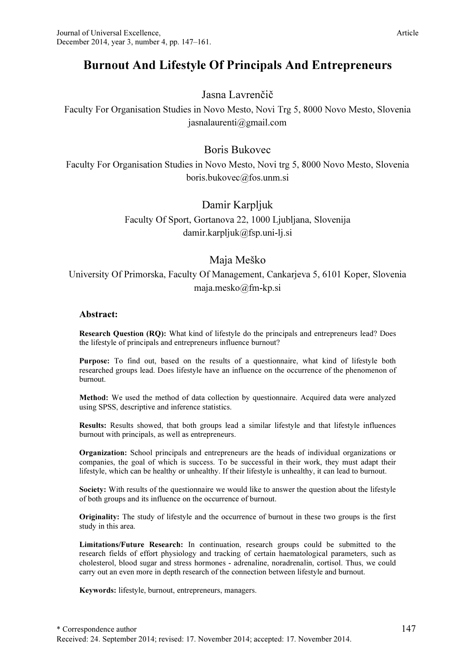# Burnout And Lifestyle Of Principals And Entrepreneurs

### Jasna Lavrenčič

Faculty For Organisation Studies in Novo Mesto, Novi Trg 5, 8000 Novo Mesto, Slovenia jasnalaurenti@gmail.com

## Boris Bukovec

Faculty For Organisation Studies in Novo Mesto, Novi trg 5, 8000 Novo Mesto, Slovenia boris.bukovec@fos.unm.si

### Damir Karpljuk

Faculty Of Sport, Gortanova 22, 1000 Ljubljana, Slovenija damir.karpljuk@fsp.uni-lj.si

### Maja Meško

## University Of Primorska, Faculty Of Management, Cankarjeva 5, 6101 Koper, Slovenia maja.mesko@fm-kp.si

#### Abstract:

Research Question (RQ): What kind of lifestyle do the principals and entrepreneurs lead? Does the lifestyle of principals and entrepreneurs influence burnout?

Purpose: To find out, based on the results of a questionnaire, what kind of lifestyle both researched groups lead. Does lifestyle have an influence on the occurrence of the phenomenon of burnout.

Method: We used the method of data collection by questionnaire. Acquired data were analyzed using SPSS, descriptive and inference statistics.

Results: Results showed, that both groups lead a similar lifestyle and that lifestyle influences burnout with principals, as well as entrepreneurs.

Organization: School principals and entrepreneurs are the heads of individual organizations or companies, the goal of which is success. To be successful in their work, they must adapt their lifestyle, which can be healthy or unhealthy. If their lifestyle is unhealthy, it can lead to burnout.

Society: With results of the questionnaire we would like to answer the question about the lifestyle of both groups and its influence on the occurrence of burnout.

Originality: The study of lifestyle and the occurrence of burnout in these two groups is the first study in this area.

Limitations/Future Research: In continuation, research groups could be submitted to the research fields of effort physiology and tracking of certain haematological parameters, such as cholesterol, blood sugar and stress hormones - adrenaline, noradrenalin, cortisol. Thus, we could carry out an even more in depth research of the connection between lifestyle and burnout.

Keywords: lifestyle, burnout, entrepreneurs, managers.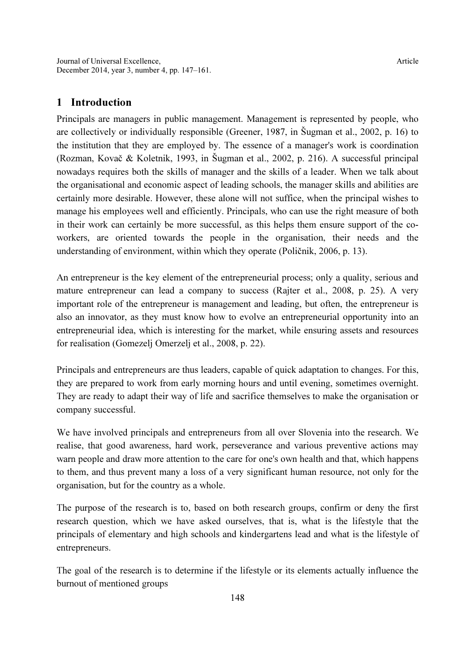### 1 Introduction

Principals are managers in public management. Management is represented by people, who are collectively or individually responsible (Greener, 1987, in Šugman et al., 2002, p. 16) to the institution that they are employed by. The essence of a manager's work is coordination (Rozman, Kovač & Koletnik, 1993, in Šugman et al., 2002, p. 216). A successful principal nowadays requires both the skills of manager and the skills of a leader. When we talk about the organisational and economic aspect of leading schools, the manager skills and abilities are certainly more desirable. However, these alone will not suffice, when the principal wishes to manage his employees well and efficiently. Principals, who can use the right measure of both in their work can certainly be more successful, as this helps them ensure support of the coworkers, are oriented towards the people in the organisation, their needs and the understanding of environment, within which they operate (Poličnik, 2006, p. 13).

An entrepreneur is the key element of the entrepreneurial process; only a quality, serious and mature entrepreneur can lead a company to success (Rajter et al., 2008, p. 25). A very important role of the entrepreneur is management and leading, but often, the entrepreneur is also an innovator, as they must know how to evolve an entrepreneurial opportunity into an entrepreneurial idea, which is interesting for the market, while ensuring assets and resources for realisation (Gomezelj Omerzelj et al., 2008, p. 22).

Principals and entrepreneurs are thus leaders, capable of quick adaptation to changes. For this, they are prepared to work from early morning hours and until evening, sometimes overnight. They are ready to adapt their way of life and sacrifice themselves to make the organisation or company successful.

We have involved principals and entrepreneurs from all over Slovenia into the research. We realise, that good awareness, hard work, perseverance and various preventive actions may warn people and draw more attention to the care for one's own health and that, which happens to them, and thus prevent many a loss of a very significant human resource, not only for the organisation, but for the country as a whole.

The purpose of the research is to, based on both research groups, confirm or deny the first research question, which we have asked ourselves, that is, what is the lifestyle that the principals of elementary and high schools and kindergartens lead and what is the lifestyle of entrepreneurs.

The goal of the research is to determine if the lifestyle or its elements actually influence the burnout of mentioned groups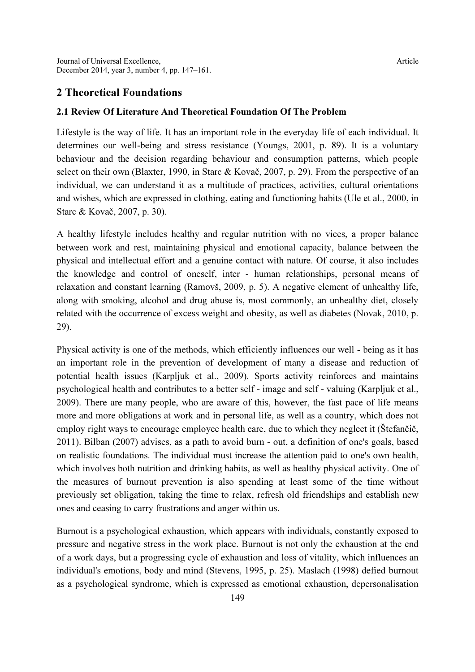### 2 Theoretical Foundations

#### 2.1 Review Of Literature And Theoretical Foundation Of The Problem

Lifestyle is the way of life. It has an important role in the everyday life of each individual. It determines our well-being and stress resistance (Youngs, 2001, p. 89). It is a voluntary behaviour and the decision regarding behaviour and consumption patterns, which people select on their own (Blaxter, 1990, in Starc & Kovač, 2007, p. 29). From the perspective of an individual, we can understand it as a multitude of practices, activities, cultural orientations and wishes, which are expressed in clothing, eating and functioning habits (Ule et al., 2000, in Starc & Kovač, 2007, p. 30).

A healthy lifestyle includes healthy and regular nutrition with no vices, a proper balance between work and rest, maintaining physical and emotional capacity, balance between the physical and intellectual effort and a genuine contact with nature. Of course, it also includes the knowledge and control of oneself, inter - human relationships, personal means of relaxation and constant learning (Ramovš, 2009, p. 5). A negative element of unhealthy life, along with smoking, alcohol and drug abuse is, most commonly, an unhealthy diet, closely related with the occurrence of excess weight and obesity, as well as diabetes (Novak, 2010, p. 29).

Physical activity is one of the methods, which efficiently influences our well - being as it has an important role in the prevention of development of many a disease and reduction of potential health issues (Karpljuk et al., 2009). Sports activity reinforces and maintains psychological health and contributes to a better self - image and self - valuing (Karpljuk et al., 2009). There are many people, who are aware of this, however, the fast pace of life means more and more obligations at work and in personal life, as well as a country, which does not employ right ways to encourage employee health care, due to which they neglect it (Štefančič, 2011). Bilban (2007) advises, as a path to avoid burn - out, a definition of one's goals, based on realistic foundations. The individual must increase the attention paid to one's own health, which involves both nutrition and drinking habits, as well as healthy physical activity. One of the measures of burnout prevention is also spending at least some of the time without previously set obligation, taking the time to relax, refresh old friendships and establish new ones and ceasing to carry frustrations and anger within us.

Burnout is a psychological exhaustion, which appears with individuals, constantly exposed to pressure and negative stress in the work place. Burnout is not only the exhaustion at the end of a work days, but a progressing cycle of exhaustion and loss of vitality, which influences an individual's emotions, body and mind (Stevens, 1995, p. 25). Maslach (1998) defied burnout as a psychological syndrome, which is expressed as emotional exhaustion, depersonalisation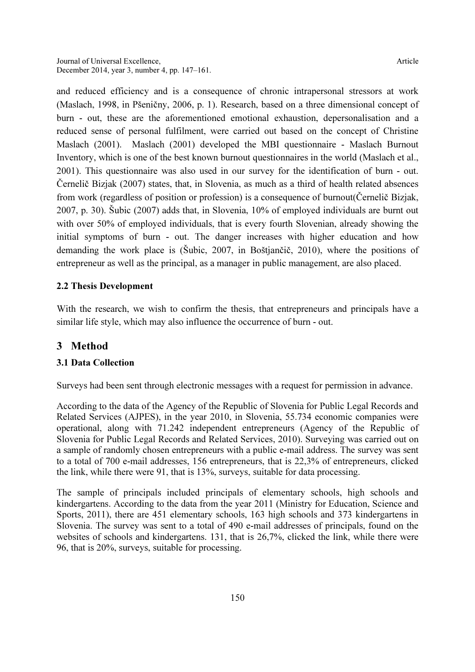and reduced efficiency and is a consequence of chronic intrapersonal stressors at work (Maslach, 1998, in Pšeničny, 2006, p. 1). Research, based on a three dimensional concept of burn - out, these are the aforementioned emotional exhaustion, depersonalisation and a reduced sense of personal fulfilment, were carried out based on the concept of Christine Maslach (2001). Maslach (2001) developed the MBI questionnaire - Maslach Burnout Inventory, which is one of the best known burnout questionnaires in the world (Maslach et al., 2001). This questionnaire was also used in our survey for the identification of burn - out. Černelič Bizjak (2007) states, that, in Slovenia, as much as a third of health related absences from work (regardless of position or profession) is a consequence of burnout(Černelič Bizjak, 2007, p. 30). Šubic (2007) adds that, in Slovenia, 10% of employed individuals are burnt out with over 50% of employed individuals, that is every fourth Slovenian, already showing the initial symptoms of burn - out. The danger increases with higher education and how demanding the work place is (Šubic, 2007, in Boštjančič, 2010), where the positions of entrepreneur as well as the principal, as a manager in public management, are also placed.

### 2.2 Thesis Development

With the research, we wish to confirm the thesis, that entrepreneurs and principals have a similar life style, which may also influence the occurrence of burn - out.

### 3 Method

### 3.1 Data Collection

Surveys had been sent through electronic messages with a request for permission in advance.

According to the data of the Agency of the Republic of Slovenia for Public Legal Records and Related Services (AJPES), in the year 2010, in Slovenia, 55.734 economic companies were operational, along with 71.242 independent entrepreneurs (Agency of the Republic of Slovenia for Public Legal Records and Related Services, 2010). Surveying was carried out on a sample of randomly chosen entrepreneurs with a public e-mail address. The survey was sent to a total of 700 e-mail addresses, 156 entrepreneurs, that is 22,3% of entrepreneurs, clicked the link, while there were 91, that is 13%, surveys, suitable for data processing.

The sample of principals included principals of elementary schools, high schools and kindergartens. According to the data from the year 2011 (Ministry for Education, Science and Sports, 2011), there are 451 elementary schools, 163 high schools and 373 kindergartens in Slovenia. The survey was sent to a total of 490 e-mail addresses of principals, found on the websites of schools and kindergartens. 131, that is 26,7%, clicked the link, while there were 96, that is 20%, surveys, suitable for processing.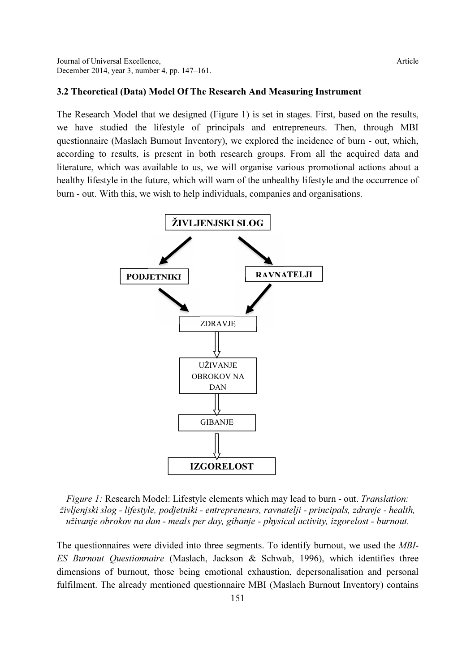#### 3.2 Theoretical (Data) Model Of The Research And Measuring Instrument

The Research Model that we designed (Figure 1) is set in stages. First, based on the results, we have studied the lifestyle of principals and entrepreneurs. Then, through MBI questionnaire (Maslach Burnout Inventory), we explored the incidence of burn - out, which, according to results, is present in both research groups. From all the acquired data and literature, which was available to us, we will organise various promotional actions about a healthy lifestyle in the future, which will warn of the unhealthy lifestyle and the occurrence of burn - out. With this, we wish to help individuals, companies and organisations.



Figure 1: Research Model: Lifestyle elements which may lead to burn - out. Translation: življenjski slog - lifestyle, podjetniki - entrepreneurs, ravnatelji - principals, zdravje - health, uživanje obrokov na dan - meals per day, gibanje - physical activity, izgorelost - burnout.

The questionnaires were divided into three segments. To identify burnout, we used the MBI-ES Burnout Questionnaire (Maslach, Jackson & Schwab, 1996), which identifies three dimensions of burnout, those being emotional exhaustion, depersonalisation and personal fulfilment. The already mentioned questionnaire MBI (Maslach Burnout Inventory) contains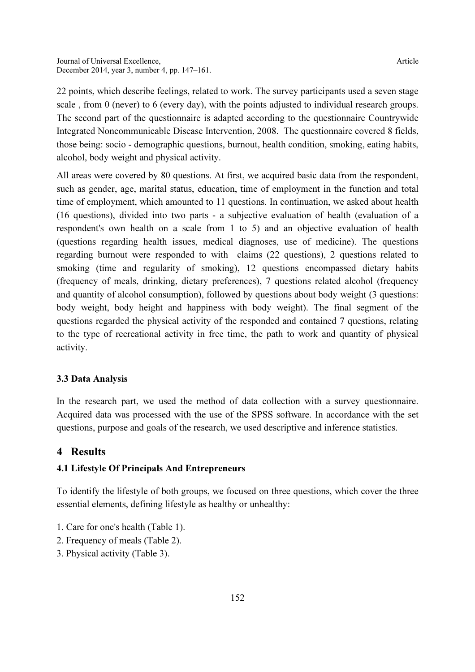22 points, which describe feelings, related to work. The survey participants used a seven stage scale , from 0 (never) to 6 (every day), with the points adjusted to individual research groups. The second part of the questionnaire is adapted according to the questionnaire Countrywide Integrated Noncommunicable Disease Intervention, 2008. The questionnaire covered 8 fields, those being: socio - demographic questions, burnout, health condition, smoking, eating habits, alcohol, body weight and physical activity.

All areas were covered by 80 questions. At first, we acquired basic data from the respondent, such as gender, age, marital status, education, time of employment in the function and total time of employment, which amounted to 11 questions. In continuation, we asked about health (16 questions), divided into two parts - a subjective evaluation of health (evaluation of a respondent's own health on a scale from 1 to 5) and an objective evaluation of health (questions regarding health issues, medical diagnoses, use of medicine). The questions regarding burnout were responded to with claims (22 questions), 2 questions related to smoking (time and regularity of smoking), 12 questions encompassed dietary habits (frequency of meals, drinking, dietary preferences), 7 questions related alcohol (frequency and quantity of alcohol consumption), followed by questions about body weight (3 questions: body weight, body height and happiness with body weight). The final segment of the questions regarded the physical activity of the responded and contained 7 questions, relating to the type of recreational activity in free time, the path to work and quantity of physical activity.

#### 3.3 Data Analysis

In the research part, we used the method of data collection with a survey questionnaire. Acquired data was processed with the use of the SPSS software. In accordance with the set questions, purpose and goals of the research, we used descriptive and inference statistics.

### 4 Results

#### 4.1 Lifestyle Of Principals And Entrepreneurs

To identify the lifestyle of both groups, we focused on three questions, which cover the three essential elements, defining lifestyle as healthy or unhealthy:

- 1. Care for one's health (Table 1).
- 2. Frequency of meals (Table 2).
- 3. Physical activity (Table 3).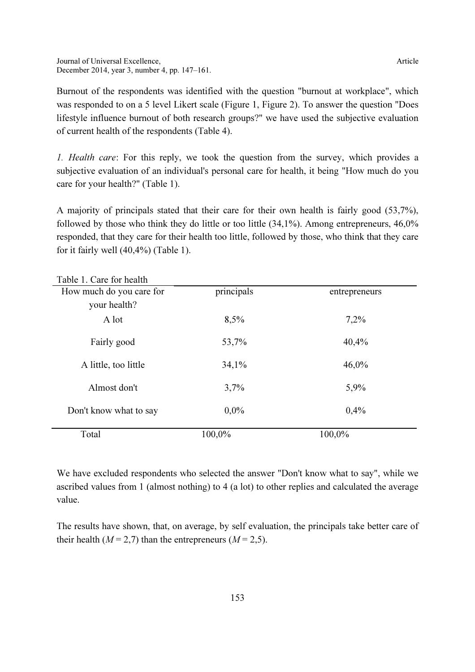Burnout of the respondents was identified with the question "burnout at workplace", which was responded to on a 5 level Likert scale (Figure 1, Figure 2). To answer the question "Does lifestyle influence burnout of both research groups?" we have used the subjective evaluation of current health of the respondents (Table 4).

1. Health care: For this reply, we took the question from the survey, which provides a subjective evaluation of an individual's personal care for health, it being "How much do you care for your health?" (Table 1).

A majority of principals stated that their care for their own health is fairly good (53,7%), followed by those who think they do little or too little (34,1%). Among entrepreneurs, 46,0% responded, that they care for their health too little, followed by those, who think that they care for it fairly well (40,4%) (Table 1).

| Table T. Care for health |            |               |  |
|--------------------------|------------|---------------|--|
| How much do you care for | principals | entrepreneurs |  |
| your health?             |            |               |  |
| A lot                    | 8,5%       | 7,2%          |  |
| Fairly good              | 53,7%      | 40,4%         |  |
| A little, too little     | 34,1%      | 46,0%         |  |
| Almost don't             | 3,7%       | 5,9%          |  |
| Don't know what to say   | $0.0\%$    | 0,4%          |  |
| Total                    | 100,0%     | 100,0%        |  |

 $T_1$  1. 1. C C 1. 1.1

We have excluded respondents who selected the answer "Don't know what to say", while we ascribed values from 1 (almost nothing) to 4 (a lot) to other replies and calculated the average value.

The results have shown, that, on average, by self evaluation, the principals take better care of their health ( $M = 2.7$ ) than the entrepreneurs ( $M = 2.5$ ).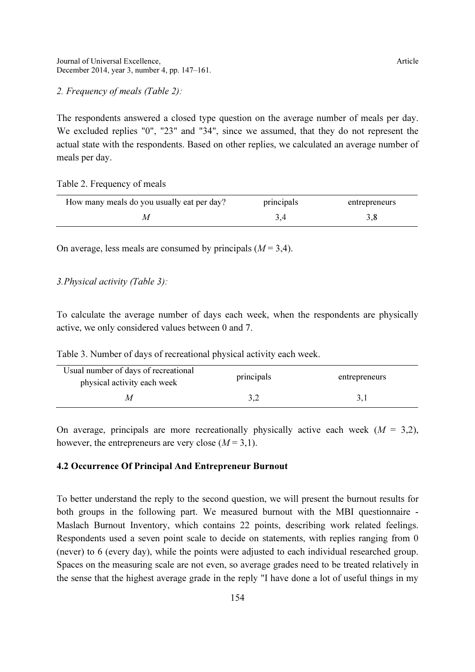#### 2. Frequency of meals (Table 2):

The respondents answered a closed type question on the average number of meals per day. We excluded replies "0", "23" and "34", since we assumed, that they do not represent the actual state with the respondents. Based on other replies, we calculated an average number of meals per day.

Table 2. Frequency of meals

| How many meals do you usually eat per day? | principals | entrepreneurs |
|--------------------------------------------|------------|---------------|
|                                            |            |               |

On average, less meals are consumed by principals  $(M = 3, 4)$ .

#### 3.Physical activity (Table 3):

To calculate the average number of days each week, when the respondents are physically active, we only considered values between 0 and 7.

Table 3. Number of days of recreational physical activity each week.

| Usual number of days of recreational<br>physical activity each week | principals | entrepreneurs |
|---------------------------------------------------------------------|------------|---------------|
|                                                                     |            |               |

On average, principals are more recreationally physically active each week  $(M = 3,2)$ , however, the entrepreneurs are very close  $(M = 3,1)$ .

#### 4.2 Occurrence Of Principal And Entrepreneur Burnout

To better understand the reply to the second question, we will present the burnout results for both groups in the following part. We measured burnout with the MBI questionnaire - Maslach Burnout Inventory, which contains 22 points, describing work related feelings. Respondents used a seven point scale to decide on statements, with replies ranging from 0 (never) to 6 (every day), while the points were adjusted to each individual researched group. Spaces on the measuring scale are not even, so average grades need to be treated relatively in the sense that the highest average grade in the reply "I have done a lot of useful things in my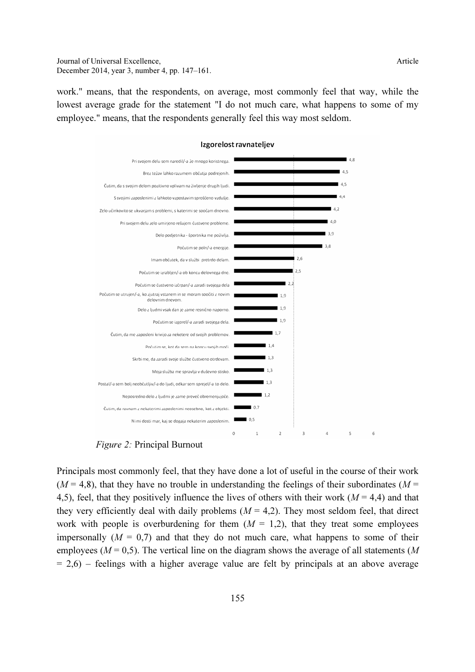Journal of Universal Excellence,  $\blacksquare$ December 2014, year 3, number 4, pp. 147–161.

work." means, that the respondents, on average, most commonly feel that way, while the lowest average grade for the statement "I do not much care, what happens to some of my employee." means, that the respondents generally feel this way most seldom.



#### Izgorelost ravnateljev

Figure 2: Principal Burnout

Principals most commonly feel, that they have done a lot of useful in the course of their work  $(M = 4.8)$ , that they have no trouble in understanding the feelings of their subordinates  $(M = 4.8)$ 4,5), feel, that they positively influence the lives of others with their work ( $M = 4,4$ ) and that they very efficiently deal with daily problems  $(M = 4.2)$ . They most seldom feel, that direct work with people is overburdening for them  $(M = 1,2)$ , that they treat some employees impersonally  $(M = 0.7)$  and that they do not much care, what happens to some of their employees ( $M = 0.5$ ). The vertical line on the diagram shows the average of all statements (M  $= 2.6$ ) – feelings with a higher average value are felt by principals at an above average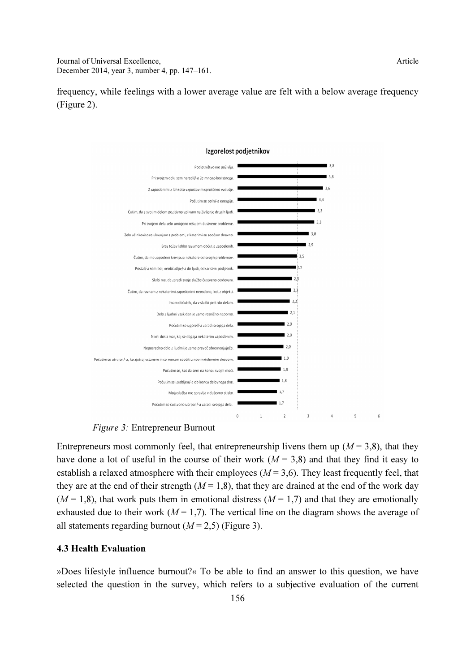frequency, while feelings with a lower average value are felt with a below average frequency (Figure 2).



#### Figure 3: Entrepreneur Burnout

Entrepreneurs most commonly feel, that entrepreneurship livens them up ( $M = 3.8$ ), that they have done a lot of useful in the course of their work ( $M = 3.8$ ) and that they find it easy to establish a relaxed atmosphere with their employees ( $M = 3.6$ ). They least frequently feel, that they are at the end of their strength ( $M = 1,8$ ), that they are drained at the end of the work day  $(M = 1,8)$ , that work puts them in emotional distress  $(M = 1,7)$  and that they are emotionally exhausted due to their work ( $M = 1,7$ ). The vertical line on the diagram shows the average of all statements regarding burnout ( $M = 2.5$ ) (Figure 3).

#### 4.3 Health Evaluation

»Does lifestyle influence burnout?« To be able to find an answer to this question, we have selected the question in the survey, which refers to a subjective evaluation of the current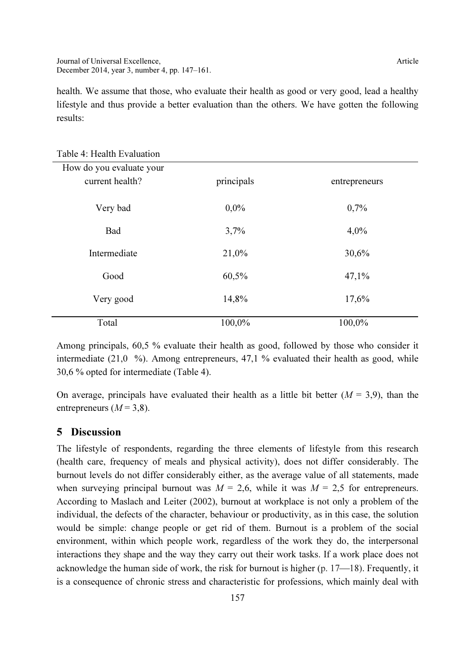health. We assume that those, who evaluate their health as good or very good, lead a healthy lifestyle and thus provide a better evaluation than the others. We have gotten the following results:

| How do you evaluate your<br>current health? | principals | entrepreneurs |
|---------------------------------------------|------------|---------------|
| Very bad                                    | $0.0\%$    | 0,7%          |
| Bad                                         | 3,7%       | 4,0%          |
| Intermediate                                | 21,0%      | 30,6%         |
| Good                                        | 60,5%      | 47,1%         |
| Very good                                   | 14,8%      | 17,6%         |
| Total                                       | 100,0%     | 100,0%        |

Table 4: Health Evaluation

Among principals, 60,5 % evaluate their health as good, followed by those who consider it intermediate (21,0 %). Among entrepreneurs, 47,1 % evaluated their health as good, while 30,6 % opted for intermediate (Table 4).

On average, principals have evaluated their health as a little bit better  $(M = 3.9)$ , than the entrepreneurs ( $M = 3,8$ ).

### 5 Discussion

The lifestyle of respondents, regarding the three elements of lifestyle from this research (health care, frequency of meals and physical activity), does not differ considerably. The burnout levels do not differ considerably either, as the average value of all statements, made when surveying principal burnout was  $M = 2.6$ , while it was  $M = 2.5$  for entrepreneurs. According to Maslach and Leiter (2002), burnout at workplace is not only a problem of the individual, the defects of the character, behaviour or productivity, as in this case, the solution would be simple: change people or get rid of them. Burnout is a problem of the social environment, within which people work, regardless of the work they do, the interpersonal interactions they shape and the way they carry out their work tasks. If a work place does not acknowledge the human side of work, the risk for burnout is higher  $(p. 17–18)$ . Frequently, it is a consequence of chronic stress and characteristic for professions, which mainly deal with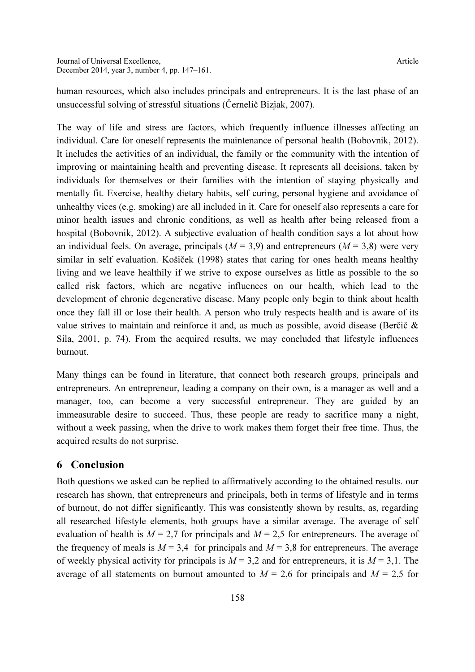human resources, which also includes principals and entrepreneurs. It is the last phase of an unsuccessful solving of stressful situations (Černelič Bizjak, 2007).

The way of life and stress are factors, which frequently influence illnesses affecting an individual. Care for oneself represents the maintenance of personal health (Bobovnik, 2012). It includes the activities of an individual, the family or the community with the intention of improving or maintaining health and preventing disease. It represents all decisions, taken by individuals for themselves or their families with the intention of staying physically and mentally fit. Exercise, healthy dietary habits, self curing, personal hygiene and avoidance of unhealthy vices (e.g. smoking) are all included in it. Care for oneself also represents a care for minor health issues and chronic conditions, as well as health after being released from a hospital (Bobovnik, 2012). A subjective evaluation of health condition says a lot about how an individual feels. On average, principals  $(M = 3.9)$  and entrepreneurs  $(M = 3.8)$  were very similar in self evaluation. Košiček (1998) states that caring for ones health means healthy living and we leave healthily if we strive to expose ourselves as little as possible to the so called risk factors, which are negative influences on our health, which lead to the development of chronic degenerative disease. Many people only begin to think about health once they fall ill or lose their health. A person who truly respects health and is aware of its value strives to maintain and reinforce it and, as much as possible, avoid disease (Berčič & Sila, 2001, p. 74). From the acquired results, we may concluded that lifestyle influences burnout.

Many things can be found in literature, that connect both research groups, principals and entrepreneurs. An entrepreneur, leading a company on their own, is a manager as well and a manager, too, can become a very successful entrepreneur. They are guided by an immeasurable desire to succeed. Thus, these people are ready to sacrifice many a night, without a week passing, when the drive to work makes them forget their free time. Thus, the acquired results do not surprise.

#### 6 Conclusion

Both questions we asked can be replied to affirmatively according to the obtained results. our research has shown, that entrepreneurs and principals, both in terms of lifestyle and in terms of burnout, do not differ significantly. This was consistently shown by results, as, regarding all researched lifestyle elements, both groups have a similar average. The average of self evaluation of health is  $M = 2.7$  for principals and  $M = 2.5$  for entrepreneurs. The average of the frequency of meals is  $M = 3.4$  for principals and  $M = 3.8$  for entrepreneurs. The average of weekly physical activity for principals is  $M = 3.2$  and for entrepreneurs, it is  $M = 3.1$ . The average of all statements on burnout amounted to  $M = 2.6$  for principals and  $M = 2.5$  for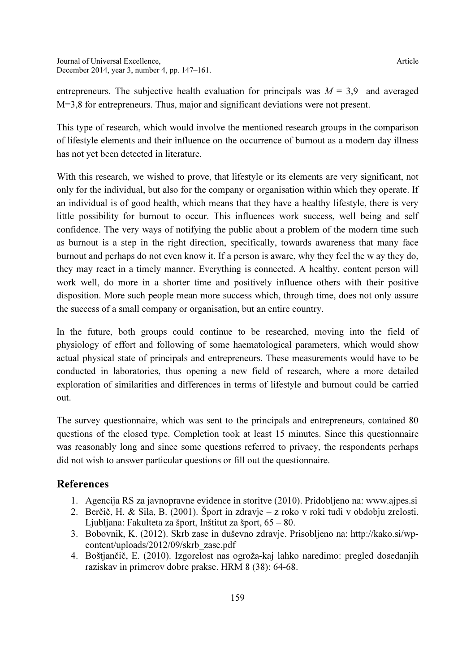entrepreneurs. The subjective health evaluation for principals was  $M = 3.9$  and averaged M=3,8 for entrepreneurs. Thus, major and significant deviations were not present.

This type of research, which would involve the mentioned research groups in the comparison of lifestyle elements and their influence on the occurrence of burnout as a modern day illness has not yet been detected in literature.

With this research, we wished to prove, that lifestyle or its elements are very significant, not only for the individual, but also for the company or organisation within which they operate. If an individual is of good health, which means that they have a healthy lifestyle, there is very little possibility for burnout to occur. This influences work success, well being and self confidence. The very ways of notifying the public about a problem of the modern time such as burnout is a step in the right direction, specifically, towards awareness that many face burnout and perhaps do not even know it. If a person is aware, why they feel the w ay they do, they may react in a timely manner. Everything is connected. A healthy, content person will work well, do more in a shorter time and positively influence others with their positive disposition. More such people mean more success which, through time, does not only assure the success of a small company or organisation, but an entire country.

In the future, both groups could continue to be researched, moving into the field of physiology of effort and following of some haematological parameters, which would show actual physical state of principals and entrepreneurs. These measurements would have to be conducted in laboratories, thus opening a new field of research, where a more detailed exploration of similarities and differences in terms of lifestyle and burnout could be carried out.

The survey questionnaire, which was sent to the principals and entrepreneurs, contained 80 questions of the closed type. Completion took at least 15 minutes. Since this questionnaire was reasonably long and since some questions referred to privacy, the respondents perhaps did not wish to answer particular questions or fill out the questionnaire.

### References

- 1. Agencija RS za javnopravne evidence in storitve (2010). Pridobljeno na: www.ajpes.si
- 2. Berčič, H. & Sila, B. (2001). Šport in zdravje z roko v roki tudi v obdobju zrelosti. Ljubljana: Fakulteta za šport, Inštitut za šport, 65 – 80.
- 3. Bobovnik, K. (2012). Skrb zase in duševno zdravje. Prisobljeno na: http://kako.si/wpcontent/uploads/2012/09/skrb\_zase.pdf
- 4. Boštjančič, E. (2010). Izgorelost nas ogroža-kaj lahko naredimo: pregled dosedanjih raziskav in primerov dobre prakse. HRM 8 (38): 64-68.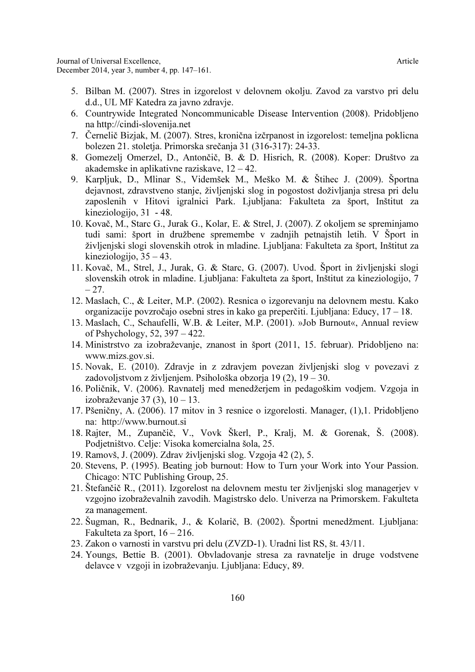- 5. Bilban M. (2007). Stres in izgorelost v delovnem okolju. Zavod za varstvo pri delu d.d., UL MF Katedra za javno zdravje.
- 6. Countrywide Integrated Noncommunicable Disease Intervention (2008). Pridobljeno na http://cindi-slovenija.net
- 7. Černelič Bizjak, M. (2007). Stres, kronična izčrpanost in izgorelost: temeljna poklicna bolezen 21. stoletja. Primorska srečanja 31 (316-317): 24-33.
- 8. Gomezelj Omerzel, D., Antončič, B. & D. Hisrich, R. (2008). Koper: Društvo za akademske in aplikativne raziskave, 12 – 42.
- 9. Karpljuk, D., Mlinar S., Videmšek M., Meško M. & Štihec J. (2009). Športna dejavnost, zdravstveno stanje, življenjski slog in pogostost doživljanja stresa pri delu zaposlenih v Hitovi igralnici Park. Ljubljana: Fakulteta za šport, Inštitut za kineziologijo, 31 - 48.
- 10. Kovač, M., Starc G., Jurak G., Kolar, E. & Strel, J. (2007). Z okoljem se spreminjamo tudi sami: šport in družbene spremembe v zadnjih petnajstih letih. V Šport in življenjski slogi slovenskih otrok in mladine. Ljubljana: Fakulteta za šport, Inštitut za kineziologijo, 35 – 43.
- 11. Kovač, M., Strel, J., Jurak, G. & Starc, G. (2007). Uvod. Šport in življenjski slogi slovenskih otrok in mladine. Ljubljana: Fakulteta za šport, Inštitut za kineziologijo, 7  $-27.$
- 12. Maslach, C., & Leiter, M.P. (2002). Resnica o izgorevanju na delovnem mestu. Kako organizacije povzročajo osebni stres in kako ga preperčiti. Ljubljana: Educy, 17 – 18.
- 13. Maslach, C., Schaufelli, W.B. & Leiter, M.P. (2001). »Job Burnout«, Annual review of Pshychology, 52, 397 – 422.
- 14. Ministrstvo za izobraževanje, znanost in šport (2011, 15. februar). Pridobljeno na: www.mizs.gov.si.
- 15. Novak, E. (2010). Zdravje in z zdravjem povezan življenjski slog v povezavi z zadovoljstvom z življenjem. Psihološka obzorja 19 (2), 19 – 30.
- 16. Poličnik, V. (2006). Ravnatelj med menedžerjem in pedagoškim vodjem. Vzgoja in izobraževanje 37 (3), 10 – 13.
- 17. Pšeničny, A. (2006). 17 mitov in 3 resnice o izgorelosti. Manager, (1),1. Pridobljeno na: http://www.burnout.si
- 18. Rajter, M., Zupančič, V., Vovk Škerl, P., Kralj, M. & Gorenak, Š. (2008). Podjetništvo. Celje: Visoka komercialna šola, 25.
- 19. Ramovš, J. (2009). Zdrav življenjski slog. Vzgoja 42 (2), 5.
- 20. Stevens, P. (1995). Beating job burnout: How to Turn your Work into Your Passion. Chicago: NTC Publishing Group, 25.
- 21. Štefančič R., (2011). Izgorelost na delovnem mestu ter življenjski slog managerjev v vzgojno izobraževalnih zavodih. Magistrsko delo. Univerza na Primorskem. Fakulteta za management.
- 22. Šugman, R., Bednarik, J., & Kolarič, B. (2002). Športni menedžment. Ljubljana: Fakulteta za šport, 16 – 216.
- 23. Zakon o varnosti in varstvu pri delu (ZVZD-1). Uradni list RS, št. 43/11.
- 24. Youngs, Bettie B. (2001). Obvladovanje stresa za ravnatelje in druge vodstvene delavce v vzgoji in izobraževanju. Ljubljana: Educy, 89.